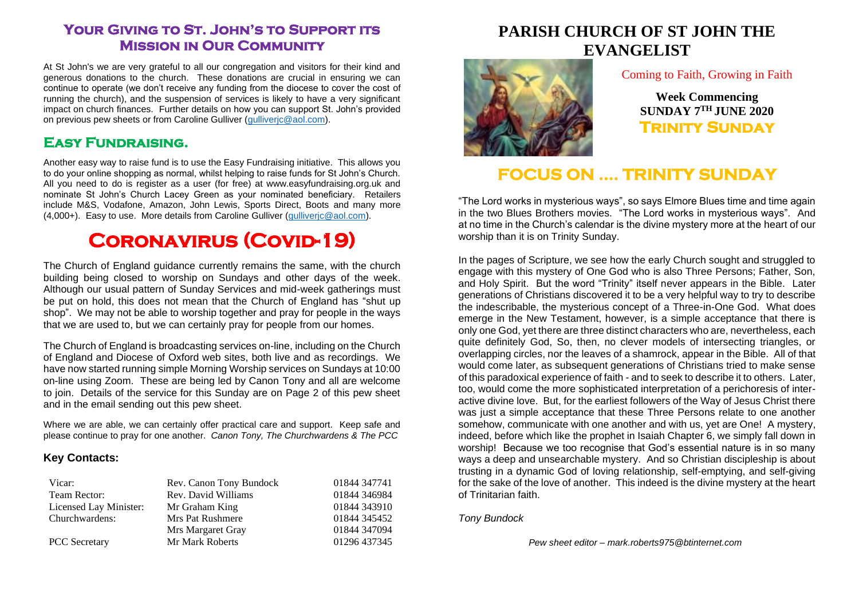### **Your Giving to St. John's to Support its Mission in Our Community**

At St John's we are very grateful to all our congregation and visitors for their kind and generous donations to the church. These donations are crucial in ensuring we can continue to operate (we don't receive any funding from the diocese to cover the cost of running the church), and the suspension of services is likely to have a very significant impact on church finances. Further details on how you can support St. John's provided on previous pew sheets or from Caroline Gulliver (gulliveric@aol.com).

### **Easy Fundraising.**

Another easy way to raise fund is to use the Easy Fundraising initiative. This allows you to do your online shopping as normal, whilst helping to raise funds for St John's Church. All you need to do is register as a user (for free) at www.easyfundraising.org.uk and nominate St John's Church Lacey Green as your nominated beneficiary. Retailers include M&S, Vodafone, Amazon, John Lewis, Sports Direct, Boots and many more (4,000+). Easy to use. More details from Caroline Gulliver [\(gulliverjc@aol.com\)](mailto:gulliverjc@aol.com).

# **Coronavirus (Covid-19)**

The Church of England guidance currently remains the same, with the church building being closed to worship on Sundays and other days of the week. Although our usual pattern of Sunday Services and mid-week gatherings must be put on hold, this does not mean that the Church of England has "shut up shop". We may not be able to worship together and pray for people in the ways that we are used to, but we can certainly pray for people from our homes.

The Church of England is broadcasting services on-line, including on the Church of England and Diocese of Oxford web sites, both live and as recordings. We have now started running simple Morning Worship services on Sundays at 10:00 on-line using Zoom. These are being led by Canon Tony and all are welcome to join. Details of the service for this Sunday are on Page 2 of this pew sheet and in the email sending out this pew sheet.

Where we are able, we can certainly offer practical care and support. Keep safe and please continue to pray for one another. *Canon Tony, The Churchwardens & The PCC*

#### **Key Contacts:**

| Vicar:                 | Rev. Canon Tony Bundock | 01844 347741 |
|------------------------|-------------------------|--------------|
| Team Rector:           | Rev. David Williams     | 01844 346984 |
| Licensed Lay Minister: | Mr Graham King          | 01844 343910 |
| Churchwardens:         | Mrs Pat Rushmere        | 01844 345452 |
|                        | Mrs Margaret Gray       | 01844 347094 |
| <b>PCC</b> Secretary   | Mr Mark Roberts         | 01296 437345 |

## **PARISH CHURCH OF ST JOHN THE EVANGELIST**



#### Coming to Faith, Growing in Faith

**Week Commencing SUNDAY 7 TH JUNE 2020 Trinity Sunday** 

## **FOCUS ON …. TRINITY SUNDAY**

"The Lord works in mysterious ways", so says Elmore Blues time and time again in the two Blues Brothers movies. "The Lord works in mysterious ways". And at no time in the Church's calendar is the divine mystery more at the heart of our worship than it is on Trinity Sunday.

In the pages of Scripture, we see how the early Church sought and struggled to engage with this mystery of One God who is also Three Persons; Father, Son, and Holy Spirit. But the word "Trinity" itself never appears in the Bible. Later generations of Christians discovered it to be a very helpful way to try to describe the indescribable, the mysterious concept of a Three-in-One God. What does emerge in the New Testament, however, is a simple acceptance that there is only one God, yet there are three distinct characters who are, nevertheless, each quite definitely God, So, then, no clever models of intersecting triangles, or overlapping circles, nor the leaves of a shamrock, appear in the Bible. All of that would come later, as subsequent generations of Christians tried to make sense of this paradoxical experience of faith - and to seek to describe it to others. Later, too, would come the more sophisticated interpretation of a perichoresis of interactive divine love. But, for the earliest followers of the Way of Jesus Christ there was just a simple acceptance that these Three Persons relate to one another somehow, communicate with one another and with us, yet are One! A mystery, indeed, before which like the prophet in Isaiah Chapter 6, we simply fall down in worship! Because we too recognise that God's essential nature is in so many ways a deep and unsearchable mystery. And so Christian discipleship is about trusting in a dynamic God of loving relationship, self-emptying, and self-giving for the sake of the love of another. This indeed is the divine mystery at the heart of Trinitarian faith.

#### *Tony Bundock*